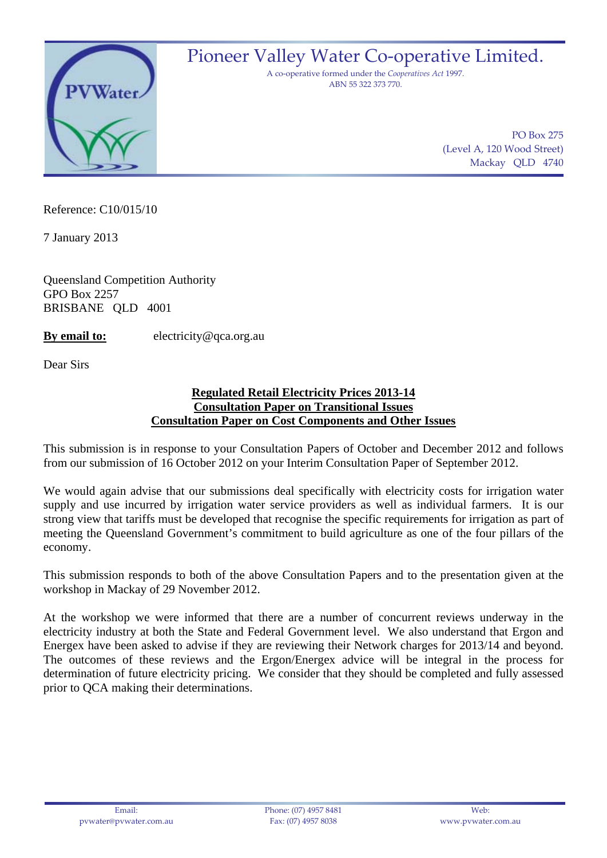

Reference: C10/015/10

7 January 2013

Queensland Competition Authority GPO Box 2257 BRISBANE QLD 4001

**By email to:** electricity@qca.org.au

Dear Sirs

#### **Regulated Retail Electricity Prices 2013-14 Consultation Paper on Transitional Issues Consultation Paper on Cost Components and Other Issues**

This submission is in response to your Consultation Papers of October and December 2012 and follows from our submission of 16 October 2012 on your Interim Consultation Paper of September 2012.

We would again advise that our submissions deal specifically with electricity costs for irrigation water supply and use incurred by irrigation water service providers as well as individual farmers. It is our strong view that tariffs must be developed that recognise the specific requirements for irrigation as part of meeting the Queensland Government's commitment to build agriculture as one of the four pillars of the economy.

This submission responds to both of the above Consultation Papers and to the presentation given at the workshop in Mackay of 29 November 2012.

At the workshop we were informed that there are a number of concurrent reviews underway in the electricity industry at both the State and Federal Government level. We also understand that Ergon and Energex have been asked to advise if they are reviewing their Network charges for 2013/14 and beyond. The outcomes of these reviews and the Ergon/Energex advice will be integral in the process for determination of future electricity pricing. We consider that they should be completed and fully assessed prior to QCA making their determinations.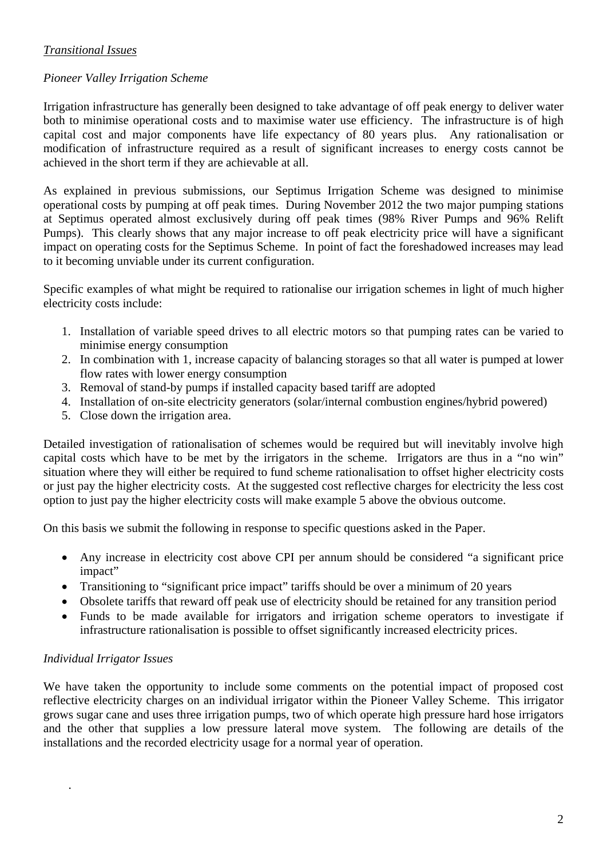## *Transitional Issues*

### *Pioneer Valley Irrigation Scheme*

Irrigation infrastructure has generally been designed to take advantage of off peak energy to deliver water both to minimise operational costs and to maximise water use efficiency. The infrastructure is of high capital cost and major components have life expectancy of 80 years plus. Any rationalisation or modification of infrastructure required as a result of significant increases to energy costs cannot be achieved in the short term if they are achievable at all.

As explained in previous submissions, our Septimus Irrigation Scheme was designed to minimise operational costs by pumping at off peak times. During November 2012 the two major pumping stations at Septimus operated almost exclusively during off peak times (98% River Pumps and 96% Relift Pumps). This clearly shows that any major increase to off peak electricity price will have a significant impact on operating costs for the Septimus Scheme. In point of fact the foreshadowed increases may lead to it becoming unviable under its current configuration.

Specific examples of what might be required to rationalise our irrigation schemes in light of much higher electricity costs include:

- 1. Installation of variable speed drives to all electric motors so that pumping rates can be varied to minimise energy consumption
- 2. In combination with 1, increase capacity of balancing storages so that all water is pumped at lower flow rates with lower energy consumption
- 3. Removal of stand-by pumps if installed capacity based tariff are adopted
- 4. Installation of on-site electricity generators (solar/internal combustion engines/hybrid powered)
- 5. Close down the irrigation area.

Detailed investigation of rationalisation of schemes would be required but will inevitably involve high capital costs which have to be met by the irrigators in the scheme. Irrigators are thus in a "no win" situation where they will either be required to fund scheme rationalisation to offset higher electricity costs or just pay the higher electricity costs. At the suggested cost reflective charges for electricity the less cost option to just pay the higher electricity costs will make example 5 above the obvious outcome.

On this basis we submit the following in response to specific questions asked in the Paper.

- Any increase in electricity cost above CPI per annum should be considered "a significant price impact"
- Transitioning to "significant price impact" tariffs should be over a minimum of 20 years
- Obsolete tariffs that reward off peak use of electricity should be retained for any transition period
- Funds to be made available for irrigators and irrigation scheme operators to investigate if infrastructure rationalisation is possible to offset significantly increased electricity prices.

### *Individual Irrigator Issues*

.

We have taken the opportunity to include some comments on the potential impact of proposed cost reflective electricity charges on an individual irrigator within the Pioneer Valley Scheme. This irrigator grows sugar cane and uses three irrigation pumps, two of which operate high pressure hard hose irrigators and the other that supplies a low pressure lateral move system. The following are details of the installations and the recorded electricity usage for a normal year of operation.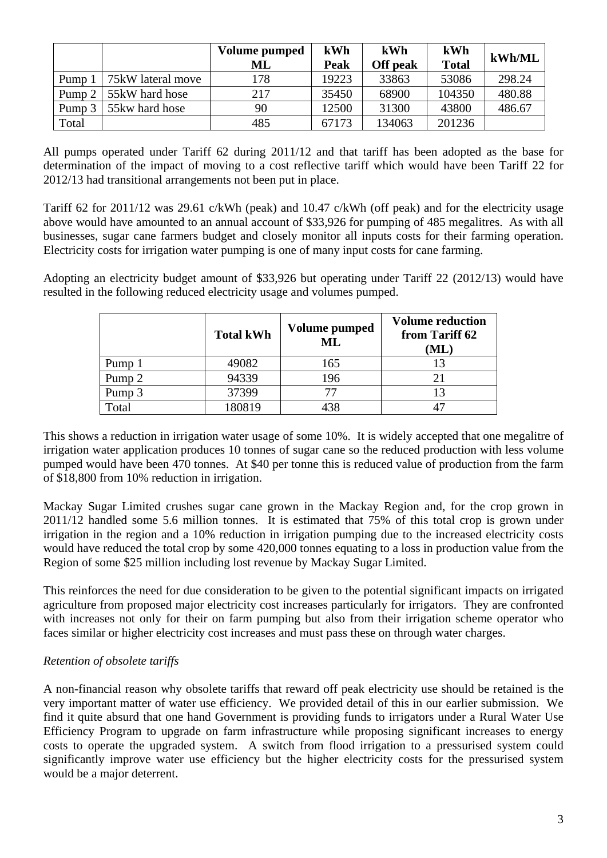|        |                   | Volume pumped<br>ML | kWh<br>Peak | kWh<br>Off peak | kWh<br><b>Total</b> | kWh/ML |
|--------|-------------------|---------------------|-------------|-----------------|---------------------|--------|
| Pump   | 75kW lateral move | 178                 | 19223       | 33863           | 53086               | 298.24 |
| Pump 2 | 55kW hard hose    | 217                 | 35450       | 68900           | 104350              | 480.88 |
| Pump 3 | 55 kw hard hose   | 90                  | 12500       | 31300           | 43800               | 486.67 |
| Total  |                   | 485                 | 67173       | 134063          | 201236              |        |

All pumps operated under Tariff 62 during 2011/12 and that tariff has been adopted as the base for determination of the impact of moving to a cost reflective tariff which would have been Tariff 22 for 2012/13 had transitional arrangements not been put in place.

Tariff 62 for 2011/12 was 29.61 c/kWh (peak) and 10.47 c/kWh (off peak) and for the electricity usage above would have amounted to an annual account of \$33,926 for pumping of 485 megalitres. As with all businesses, sugar cane farmers budget and closely monitor all inputs costs for their farming operation. Electricity costs for irrigation water pumping is one of many input costs for cane farming.

Adopting an electricity budget amount of \$33,926 but operating under Tariff 22 (2012/13) would have resulted in the following reduced electricity usage and volumes pumped.

|                   | <b>Total kWh</b> | Volume pumped<br>ML | <b>Volume reduction</b><br>from Tariff 62<br>ML |
|-------------------|------------------|---------------------|-------------------------------------------------|
| Pump 1            | 49082            | 165                 | 13                                              |
| Pump <sub>2</sub> | 94339            | 196                 |                                                 |
| Pump 3            | 37399            |                     | 13                                              |
| "otal             | 180819           |                     |                                                 |

This shows a reduction in irrigation water usage of some 10%. It is widely accepted that one megalitre of irrigation water application produces 10 tonnes of sugar cane so the reduced production with less volume pumped would have been 470 tonnes. At \$40 per tonne this is reduced value of production from the farm of \$18,800 from 10% reduction in irrigation.

Mackay Sugar Limited crushes sugar cane grown in the Mackay Region and, for the crop grown in 2011/12 handled some 5.6 million tonnes. It is estimated that 75% of this total crop is grown under irrigation in the region and a 10% reduction in irrigation pumping due to the increased electricity costs would have reduced the total crop by some 420,000 tonnes equating to a loss in production value from the Region of some \$25 million including lost revenue by Mackay Sugar Limited.

This reinforces the need for due consideration to be given to the potential significant impacts on irrigated agriculture from proposed major electricity cost increases particularly for irrigators. They are confronted with increases not only for their on farm pumping but also from their irrigation scheme operator who faces similar or higher electricity cost increases and must pass these on through water charges.

# *Retention of obsolete tariffs*

A non-financial reason why obsolete tariffs that reward off peak electricity use should be retained is the very important matter of water use efficiency. We provided detail of this in our earlier submission. We find it quite absurd that one hand Government is providing funds to irrigators under a Rural Water Use Efficiency Program to upgrade on farm infrastructure while proposing significant increases to energy costs to operate the upgraded system. A switch from flood irrigation to a pressurised system could significantly improve water use efficiency but the higher electricity costs for the pressurised system would be a major deterrent.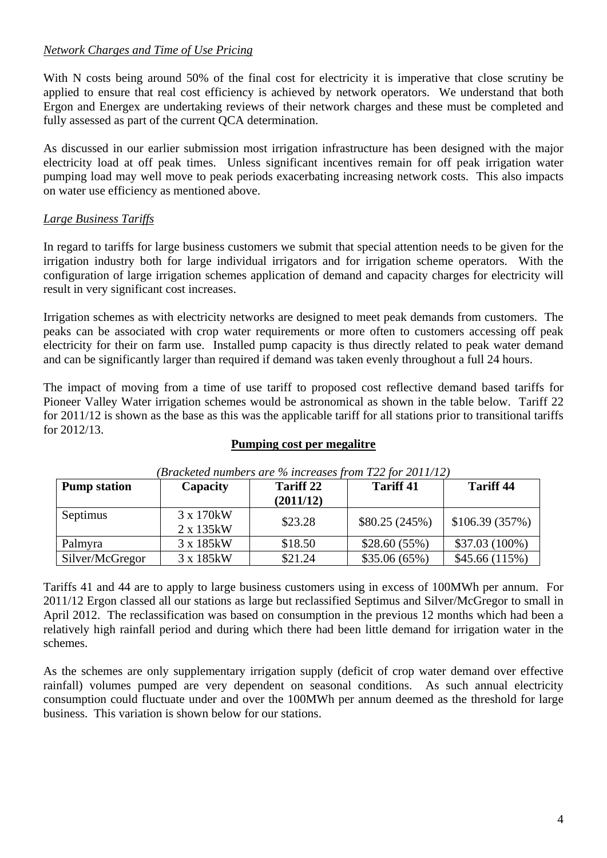## *Network Charges and Time of Use Pricing*

With N costs being around 50% of the final cost for electricity it is imperative that close scrutiny be applied to ensure that real cost efficiency is achieved by network operators. We understand that both Ergon and Energex are undertaking reviews of their network charges and these must be completed and fully assessed as part of the current QCA determination.

As discussed in our earlier submission most irrigation infrastructure has been designed with the major electricity load at off peak times. Unless significant incentives remain for off peak irrigation water pumping load may well move to peak periods exacerbating increasing network costs. This also impacts on water use efficiency as mentioned above.

# *Large Business Tariffs*

In regard to tariffs for large business customers we submit that special attention needs to be given for the irrigation industry both for large individual irrigators and for irrigation scheme operators. With the configuration of large irrigation schemes application of demand and capacity charges for electricity will result in very significant cost increases.

Irrigation schemes as with electricity networks are designed to meet peak demands from customers. The peaks can be associated with crop water requirements or more often to customers accessing off peak electricity for their on farm use. Installed pump capacity is thus directly related to peak water demand and can be significantly larger than required if demand was taken evenly throughout a full 24 hours.

The impact of moving from a time of use tariff to proposed cost reflective demand based tariffs for Pioneer Valley Water irrigation schemes would be astronomical as shown in the table below. Tariff 22 for 2011/12 is shown as the base as this was the applicable tariff for all stations prior to transitional tariffs for 2012/13.

### **Pumping cost per megalitre**

| <b>Pump station</b> | Capacity                 | <b>Tariff 22</b><br>(2011/12) | <b>Tariff 41</b> | <b>Tariff 44</b> |
|---------------------|--------------------------|-------------------------------|------------------|------------------|
| Septimus            | 3 x 170 kW<br>2 x 135 kW | \$23.28                       | \$80.25(245%)    | \$106.39(357%)   |
| Palmyra             | 3 x 185 kW               | \$18.50                       | \$28.60(55%)     | $$37.03(100\%)$  |
| Silver/McGregor     | 3 x 185 kW               | \$21.24                       | \$35.06(65%)     | \$45.66(115%)    |

*(Bracketed numbers are % increases from T22 for 2011/12)* 

Tariffs 41 and 44 are to apply to large business customers using in excess of 100MWh per annum. For 2011/12 Ergon classed all our stations as large but reclassified Septimus and Silver/McGregor to small in April 2012. The reclassification was based on consumption in the previous 12 months which had been a relatively high rainfall period and during which there had been little demand for irrigation water in the schemes.

As the schemes are only supplementary irrigation supply (deficit of crop water demand over effective rainfall) volumes pumped are very dependent on seasonal conditions. As such annual electricity consumption could fluctuate under and over the 100MWh per annum deemed as the threshold for large business. This variation is shown below for our stations.